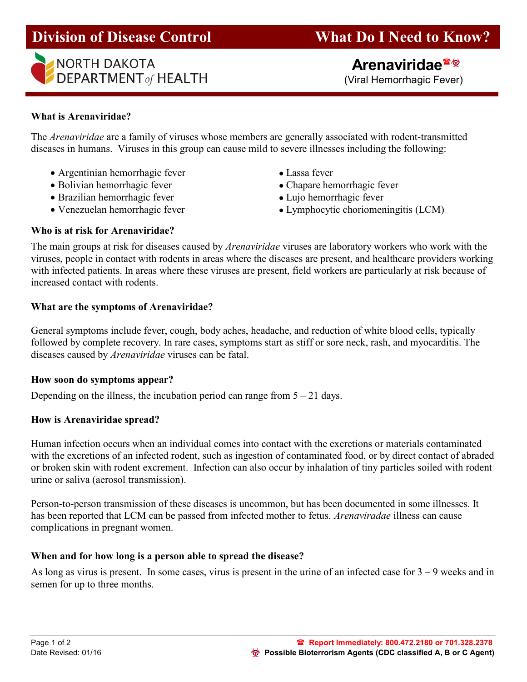# Division of Disease Control What Do I Need to Know?



(Viral Hemorrhagic Fever)

# What is Arenaviridae?

The Arenaviridae are a family of viruses whose members are generally associated with rodent-transmitted diseases in humans. Viruses in this group can cause mild to severe illnesses including the following:

- Argentinian hemorrhagic fever Lassa fever
- Bolivian hemorrhagic fever **•** Chapare hemorrhagic fever
- Brazilian hemorrhagic fever • Lujo hemorrhagic fever
- 
- 
- 
- 
- Venezuelan hemorrhagic fever Lymphocytic choriomeningitis (LCM)

#### Who is at risk for Arenaviridae?

The main groups at risk for diseases caused by *Arenaviridae* viruses are laboratory workers who work with the viruses, people in contact with rodents in areas where the diseases are present, and healthcare providers working with infected patients. In areas where these viruses are present, field workers are particularly at risk because of increased contact with rodents.

#### What are the symptoms of Arenaviridae?

General symptoms include fever, cough, body aches, headache, and reduction of white blood cells, typically followed by complete recovery. In rare cases, symptoms start as stiff or sore neck, rash, and myocarditis. The diseases caused by Arenaviridae viruses can be fatal.

#### How soon do symptoms appear?

Depending on the illness, the incubation period can range from  $5 - 21$  days.

#### How is Arenaviridae spread?

Human infection occurs when an individual comes into contact with the excretions or materials contaminated with the excretions of an infected rodent, such as ingestion of contaminated food, or by direct contact of abraded or broken skin with rodent excrement. Infection can also occur by inhalation of tiny particles soiled with rodent urine or saliva (aerosol transmission).

Person-to-person transmission of these diseases is uncommon, but has been documented in some illnesses. It has been reported that LCM can be passed from infected mother to fetus. Arenaviradae illness can cause complications in pregnant women.

### When and for how long is a person able to spread the disease?

As long as virus is present. In some cases, virus is present in the urine of an infected case for  $3 - 9$  weeks and in semen for up to three months.